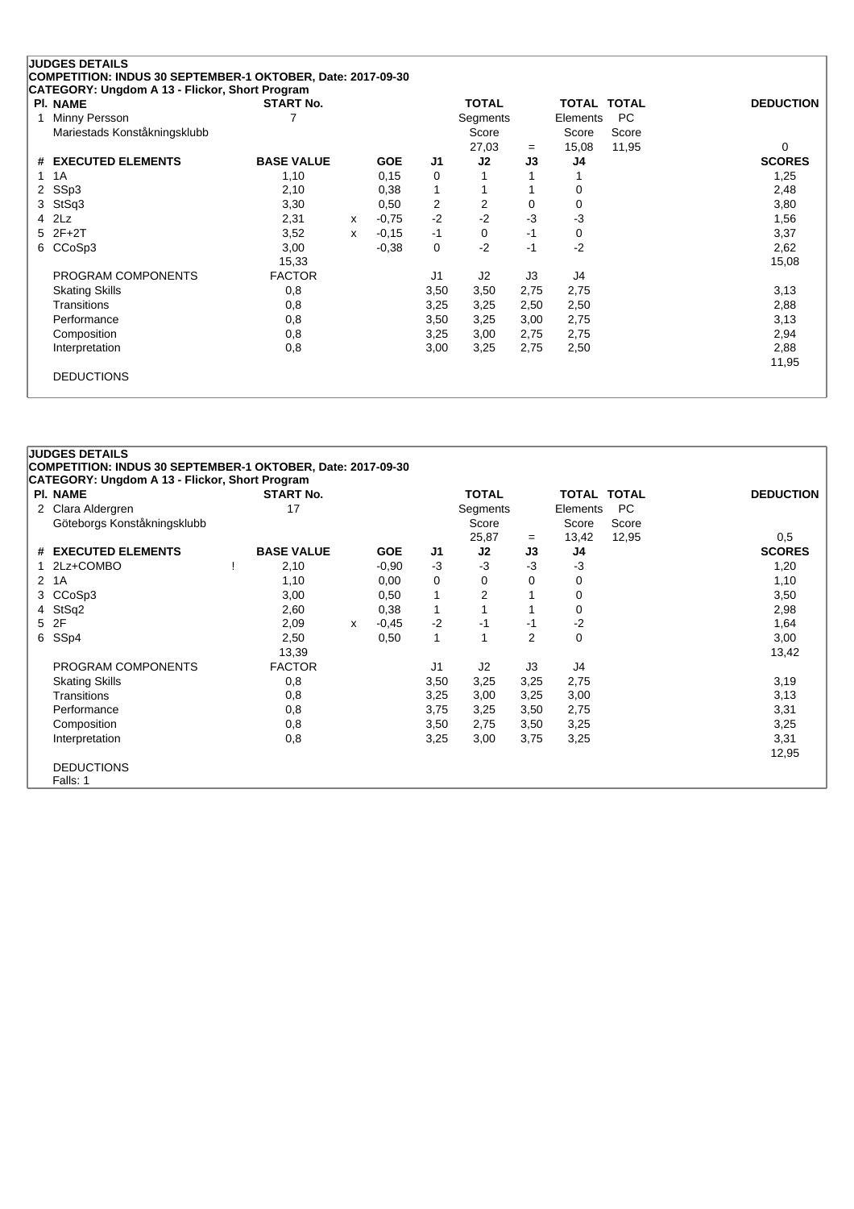| <b>PI. NAME</b>              | <b>START No.</b>  |   |            |                | <b>TOTAL</b>   |      | <b>TOTAL TOTAL</b> |           | <b>DEDUCTION</b> |
|------------------------------|-------------------|---|------------|----------------|----------------|------|--------------------|-----------|------------------|
| Minny Persson                |                   |   |            |                | Segments       |      | Elements           | <b>PC</b> |                  |
| Mariestads Konståkningsklubb |                   |   |            |                | Score          |      | Score              | Score     |                  |
|                              |                   |   |            |                | 27,03          | $=$  | 15,08              | 11,95     | 0                |
| # EXECUTED ELEMENTS          | <b>BASE VALUE</b> |   | <b>GOE</b> | J <sub>1</sub> | J2             | J3   | J4                 |           | <b>SCORES</b>    |
| 1A                           | 1,10              |   | 0,15       | 0              |                |      |                    |           | 1,25             |
| SSp3<br>$^{2}$               | 2,10              |   | 0,38       | 1              |                |      |                    |           | 2,48             |
| StSq3                        | 3,30              |   | 0,50       | 2              | 2              | 0    | 0                  |           | 3,80             |
| 2Lz                          | 2,31              | x | $-0,75$    | $-2$           | $-2$           | $-3$ | $-3$               |           | 1,56             |
| $2F+2T$                      | 3,52              | x | $-0,15$    | $-1$           | $\Omega$       | $-1$ | 0                  |           | 3,37             |
| CCoSp3                       | 3,00              |   | $-0,38$    | 0              | $-2$           | $-1$ | $-2$               |           | 2,62             |
|                              | 15,33             |   |            |                |                |      |                    |           | 15,08            |
| PROGRAM COMPONENTS           | <b>FACTOR</b>     |   |            | J <sub>1</sub> | J <sub>2</sub> | J3   | J4                 |           |                  |
| <b>Skating Skills</b>        | 0,8               |   |            | 3,50           | 3,50           | 2,75 | 2,75               |           | 3,13             |
| Transitions                  | 0,8               |   |            | 3,25           | 3,25           | 2,50 | 2,50               |           | 2,88             |
| Performance                  | 0,8               |   |            | 3,50           | 3,25           | 3,00 | 2,75               |           | 3,13             |
| Composition                  | 0,8               |   |            | 3,25           | 3,00           | 2,75 | 2,75               |           | 2,94             |
| Interpretation               | 0,8               |   |            | 3,00           | 3,25           | 2,75 | 2,50               |           | 2,88             |
|                              |                   |   |            |                |                |      |                    |           | 11,95            |

|              | <b>JUDGES DETAILS</b><br>COMPETITION: INDUS 30 SEPTEMBER-1 OKTOBER, Date: 2017-09-30 |                   |   |            |                |                |                |                    |           |                  |
|--------------|--------------------------------------------------------------------------------------|-------------------|---|------------|----------------|----------------|----------------|--------------------|-----------|------------------|
|              | CATEGORY: Ungdom A 13 - Flickor, Short Program                                       |                   |   |            |                |                |                |                    |           |                  |
|              | <b>PI. NAME</b>                                                                      | <b>START No.</b>  |   |            |                | <b>TOTAL</b>   |                | <b>TOTAL TOTAL</b> |           | <b>DEDUCTION</b> |
| 2            | Clara Aldergren                                                                      | 17                |   |            |                | Segments       |                | Elements           | <b>PC</b> |                  |
|              | Göteborgs Konståkningsklubb                                                          |                   |   |            |                | Score          |                | Score              | Score     |                  |
|              |                                                                                      |                   |   |            |                | 25,87          | $=$            | 13,42              | 12,95     | 0,5              |
|              | # EXECUTED ELEMENTS                                                                  | <b>BASE VALUE</b> |   | <b>GOE</b> | J <sub>1</sub> | J2             | J3             | J4                 |           | <b>SCORES</b>    |
|              | 2Lz+COMBO                                                                            | 2,10              |   | $-0.90$    | $-3$           | $-3$           | $-3$           | $-3$               |           | 1,20             |
| $\mathbf{2}$ | 1A                                                                                   | 1,10              |   | 0,00       | 0              | 0              | 0              | 0                  |           | 1,10             |
| 3.           | CCoSp3                                                                               | 3,00              |   | 0,50       | 1              | $\overline{2}$ |                | 0                  |           | 3,50             |
|              | 4 StSq2                                                                              | 2,60              |   | 0,38       | $\mathbf{1}$   |                |                | 0                  |           | 2,98             |
|              | 5 2F                                                                                 | 2,09              | X | $-0,45$    | $-2$           | $-1$           | $-1$           | $-2$               |           | 1,64             |
| 6            | SS <sub>p4</sub>                                                                     | 2,50              |   | 0,50       | 1              | 1              | $\overline{2}$ | 0                  |           | 3,00             |
|              |                                                                                      | 13,39             |   |            |                |                |                |                    |           | 13,42            |
|              | PROGRAM COMPONENTS                                                                   | <b>FACTOR</b>     |   |            | J1             | J2             | J3             | J4                 |           |                  |
|              | <b>Skating Skills</b>                                                                | 0,8               |   |            | 3,50           | 3,25           | 3,25           | 2,75               |           | 3,19             |
|              | Transitions                                                                          | 0,8               |   |            | 3,25           | 3,00           | 3,25           | 3,00               |           | 3,13             |
|              | Performance                                                                          | 0,8               |   |            | 3,75           | 3,25           | 3,50           | 2,75               |           | 3,31             |
|              | Composition                                                                          | 0,8               |   |            | 3,50           | 2,75           | 3,50           | 3,25               |           | 3,25             |
|              | Interpretation                                                                       | 0,8               |   |            | 3,25           | 3,00           | 3,75           | 3,25               |           | 3,31             |
|              |                                                                                      |                   |   |            |                |                |                |                    |           | 12,95            |
|              | <b>DEDUCTIONS</b>                                                                    |                   |   |            |                |                |                |                    |           |                  |
|              | Falls: 1                                                                             |                   |   |            |                |                |                |                    |           |                  |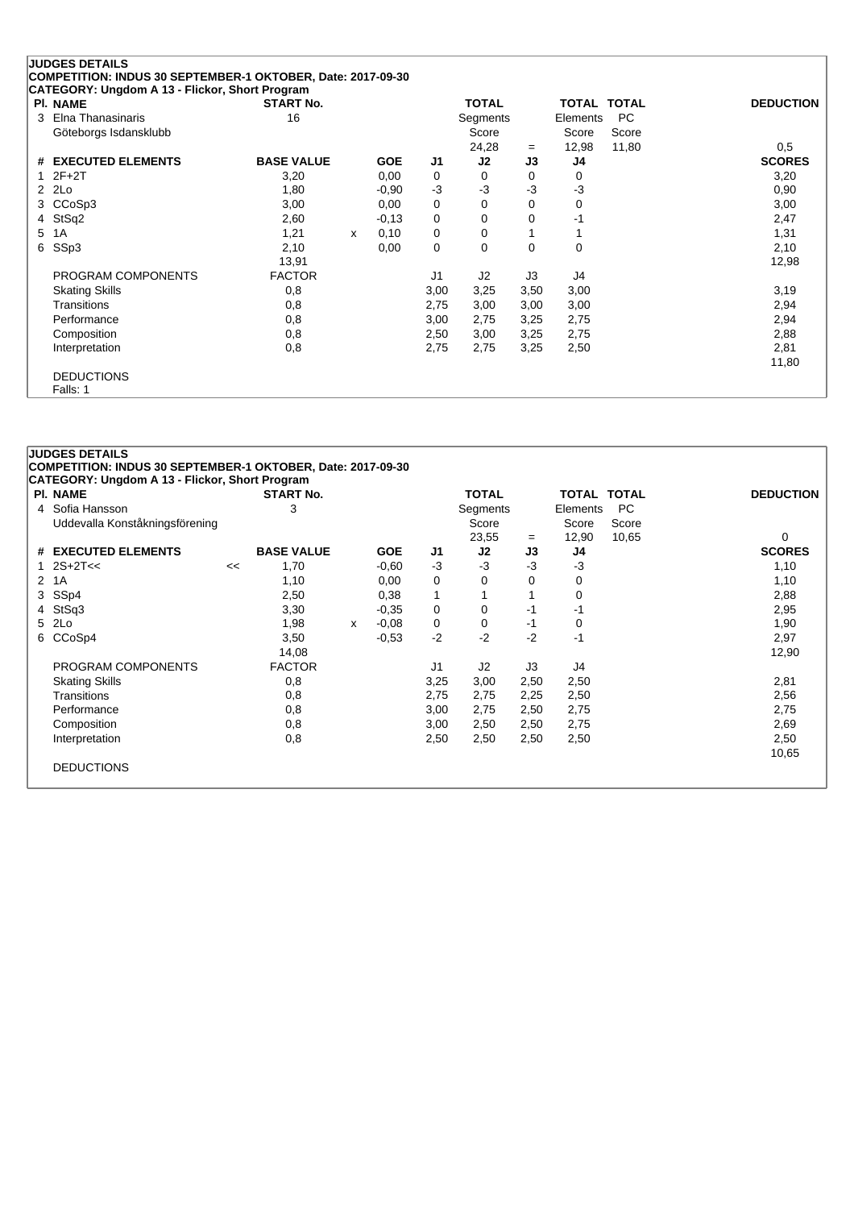|                      | <b>JUDGES DETAILS</b>                                       |                   |   |            |                |              |      |             |       |                  |
|----------------------|-------------------------------------------------------------|-------------------|---|------------|----------------|--------------|------|-------------|-------|------------------|
|                      | COMPETITION: INDUS 30 SEPTEMBER-1 OKTOBER, Date: 2017-09-30 |                   |   |            |                |              |      |             |       |                  |
|                      | CATEGORY: Ungdom A 13 - Flickor, Short Program              |                   |   |            |                |              |      |             |       |                  |
|                      | <b>PI. NAME</b>                                             | <b>START No.</b>  |   |            |                | <b>TOTAL</b> |      | TOTAL TOTAL |       | <b>DEDUCTION</b> |
| 3                    | Elna Thanasinaris                                           | 16                |   |            |                | Segments     |      | Elements    | PC    |                  |
|                      | Göteborgs Isdansklubb                                       |                   |   |            |                | Score        |      | Score       | Score |                  |
|                      |                                                             |                   |   |            |                | 24,28        | $=$  | 12,98       | 11,80 | 0.5              |
|                      | # EXECUTED ELEMENTS                                         | <b>BASE VALUE</b> |   | <b>GOE</b> | J1             | J2           | J3   | J4          |       | <b>SCORES</b>    |
|                      | $2F+2T$                                                     | 3,20              |   | 0,00       | 0              | 0            | 0    | 0           |       | 3,20             |
| $\mathbf{2}^{\circ}$ | 2Lo                                                         | 1,80              |   | $-0.90$    | $-3$           | $-3$         | $-3$ | $-3$        |       | 0,90             |
| 3                    | CCoSp3                                                      | 3,00              |   | 0,00       | 0              | 0            | 0    | 0           |       | 3,00             |
| 4                    | StSq2                                                       | 2,60              |   | $-0,13$    | 0              | 0            | 0    | -1          |       | 2,47             |
| 5                    | 1A                                                          | 1,21              | X | 0,10       | 0              | 0            |      |             |       | 1,31             |
| 6                    | SSp3                                                        | 2,10              |   | 0,00       | 0              | 0            | 0    | 0           |       | 2,10             |
|                      |                                                             | 13,91             |   |            |                |              |      |             |       | 12,98            |
|                      | PROGRAM COMPONENTS                                          | <b>FACTOR</b>     |   |            | J <sub>1</sub> | J2           | J3   | J4          |       |                  |
|                      | <b>Skating Skills</b>                                       | 0,8               |   |            | 3,00           | 3,25         | 3,50 | 3,00        |       | 3,19             |
|                      | Transitions                                                 | 0,8               |   |            | 2,75           | 3,00         | 3,00 | 3,00        |       | 2,94             |
|                      | Performance                                                 | 0,8               |   |            | 3,00           | 2,75         | 3,25 | 2,75        |       | 2,94             |
|                      | Composition                                                 | 0,8               |   |            | 2,50           | 3,00         | 3,25 | 2,75        |       | 2,88             |
|                      | Interpretation                                              | 0,8               |   |            | 2,75           | 2,75         | 3,25 | 2,50        |       | 2,81             |
|                      |                                                             |                   |   |            |                |              |      |             |       | 11,80            |
|                      | <b>DEDUCTIONS</b>                                           |                   |   |            |                |              |      |             |       |                  |
|                      | Falls: 1                                                    |                   |   |            |                |              |      |             |       |                  |

| <b>PI. NAME</b>                |    | <b>START No.</b>  |   |            |                | <b>TOTAL</b> |      | <b>TOTAL TOTAL</b> |       | <b>DEDUCTION</b> |
|--------------------------------|----|-------------------|---|------------|----------------|--------------|------|--------------------|-------|------------------|
| 4 Sofia Hansson                |    | 3                 |   |            |                | Segments     |      | Elements           | PC    |                  |
| Uddevalla Konståkningsförening |    |                   |   |            |                | Score        |      | Score              | Score |                  |
|                                |    |                   |   |            |                | 23,55        | $=$  | 12,90              | 10,65 | 0                |
| # EXECUTED ELEMENTS            |    | <b>BASE VALUE</b> |   | <b>GOE</b> | J1             | J2           | J3   | J4                 |       | <b>SCORES</b>    |
| 1 $2S+2T<<$                    | << | 1,70              |   | $-0.60$    | $-3$           | $-3$         | -3   | $-3$               |       | 1,10             |
| 2 1A                           |    | 1,10              |   | 0,00       | 0              | 0            | 0    | 0                  |       | 1,10             |
| 3 SSp4                         |    | 2,50              |   | 0,38       | 1              |              |      | 0                  |       | 2,88             |
| 4 StSq3                        |    | 3,30              |   | $-0.35$    | 0              | 0            | -1   | -1                 |       | 2,95             |
| 5 2Lo                          |    | 1,98              | X | $-0.08$    | 0              | 0            | -1   | 0                  |       | 1,90             |
| 6 CCoSp4                       |    | 3,50              |   | $-0.53$    | $-2$           | $-2$         | $-2$ | -1                 |       | 2,97             |
|                                |    | 14,08             |   |            |                |              |      |                    |       | 12,90            |
| PROGRAM COMPONENTS             |    | <b>FACTOR</b>     |   |            | J <sub>1</sub> | J2           | J3   | J4                 |       |                  |
| <b>Skating Skills</b>          |    | 0,8               |   |            | 3,25           | 3,00         | 2,50 | 2,50               |       | 2,81             |
| Transitions                    |    | 0,8               |   |            | 2,75           | 2,75         | 2,25 | 2,50               |       | 2,56             |
| Performance                    |    | 0,8               |   |            | 3,00           | 2,75         | 2,50 | 2,75               |       | 2,75             |
| Composition                    |    | 0,8               |   |            | 3,00           | 2,50         | 2,50 | 2,75               |       | 2,69             |
| Interpretation                 |    | 0,8               |   |            | 2,50           | 2,50         | 2,50 | 2,50               |       | 2,50             |
|                                |    |                   |   |            |                |              |      |                    |       | 10,65            |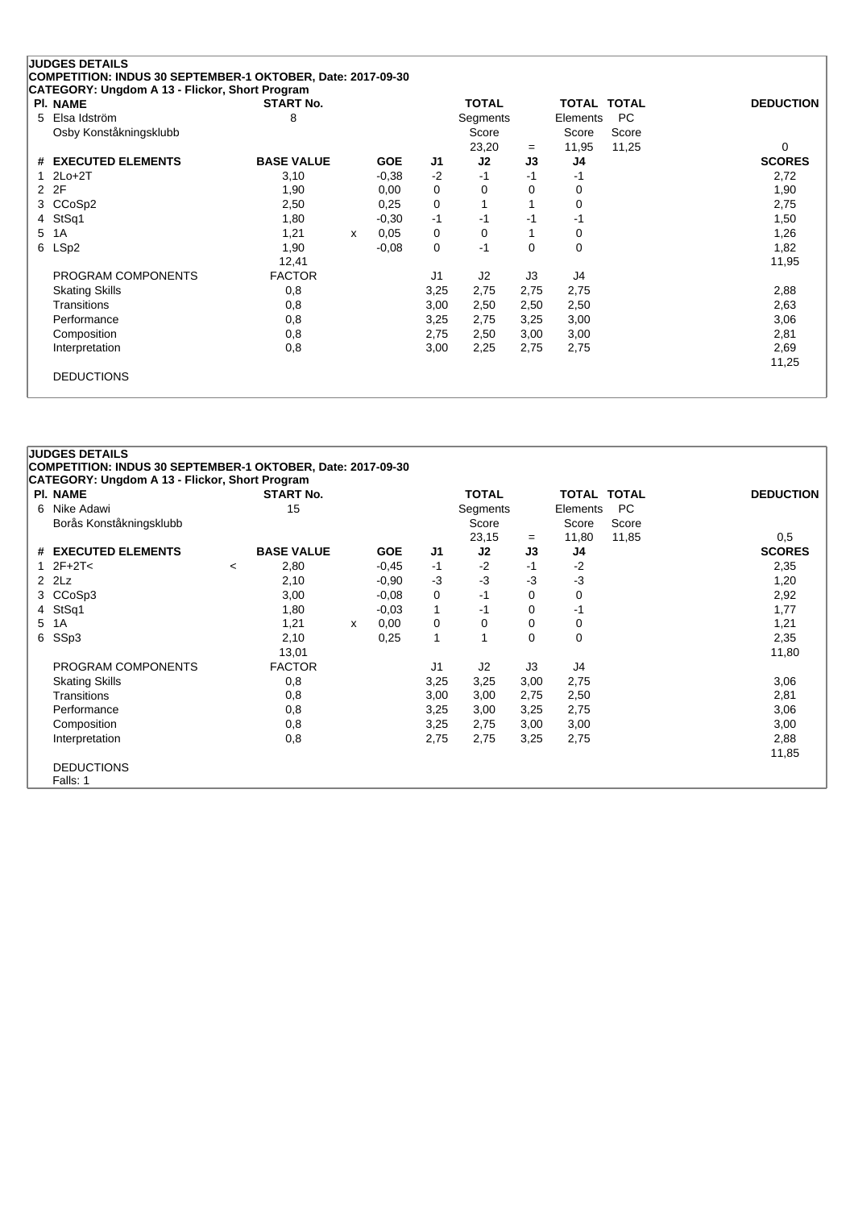| <b>PI. NAME</b>        | <b>START No.</b>  |   |            |                | <b>TOTAL</b>   |          | TOTAL TOTAL |       | <b>DEDUCTION</b> |
|------------------------|-------------------|---|------------|----------------|----------------|----------|-------------|-------|------------------|
| Elsa Idström<br>5.     | 8                 |   |            |                | Segments       |          | Elements    | PC.   |                  |
| Osby Konståkningsklubb |                   |   |            |                | Score          |          | Score       | Score |                  |
|                        |                   |   |            |                | 23,20          | $=$      | 11,95       | 11,25 | 0                |
| # EXECUTED ELEMENTS    | <b>BASE VALUE</b> |   | <b>GOE</b> | J1             | J2             | J3       | J4          |       | <b>SCORES</b>    |
| $2Lo+2T$               | 3,10              |   | $-0.38$    | $-2$           | $-1$           | $-1$     | -1          |       | 2,72             |
| 2F<br>2                | 1,90              |   | 0,00       | 0              | 0              | 0        | 0           |       | 1,90             |
| CCoSp2<br>3            | 2,50              |   | 0,25       | 0              |                |          | 0           |       | 2,75             |
| StSq1<br>4             | 1,80              |   | $-0.30$    | $-1$           | $-1$           | -1       | -1          |       | 1,50             |
| 1A<br>5.               | 1,21              | x | 0,05       | 0              | 0              |          | 0           |       | 1,26             |
| LSp2                   | 1,90              |   | $-0.08$    | 0              | $-1$           | $\Omega$ | 0           |       | 1,82             |
|                        | 12,41             |   |            |                |                |          |             |       | 11,95            |
| PROGRAM COMPONENTS     | <b>FACTOR</b>     |   |            | J <sub>1</sub> | J <sub>2</sub> | J3       | J4          |       |                  |
| <b>Skating Skills</b>  | 0,8               |   |            | 3,25           | 2,75           | 2,75     | 2,75        |       | 2,88             |
| Transitions            | 0,8               |   |            | 3,00           | 2,50           | 2,50     | 2,50        |       | 2,63             |
| Performance            | 0,8               |   |            | 3,25           | 2,75           | 3,25     | 3,00        |       | 3,06             |
| Composition            | 0,8               |   |            | 2,75           | 2,50           | 3,00     | 3,00        |       | 2,81             |
| Interpretation         | 0,8               |   |            | 3,00           | 2,25           | 2,75     | 2,75        |       | 2,69             |
|                        |                   |   |            |                |                |          |             |       | 11,25            |

|    | <b>JUDGES DETAILS</b>                                       |         |                   |   |            |                |              |      |              |              |                  |
|----|-------------------------------------------------------------|---------|-------------------|---|------------|----------------|--------------|------|--------------|--------------|------------------|
|    | COMPETITION: INDUS 30 SEPTEMBER-1 OKTOBER, Date: 2017-09-30 |         |                   |   |            |                |              |      |              |              |                  |
|    | CATEGORY: Ungdom A 13 - Flickor, Short Program              |         |                   |   |            |                |              |      |              |              |                  |
|    | <b>PI. NAME</b>                                             |         | <b>START No.</b>  |   |            |                | <b>TOTAL</b> |      | <b>TOTAL</b> | <b>TOTAL</b> | <b>DEDUCTION</b> |
| 6  | Nike Adawi                                                  |         | 15                |   |            |                | Segments     |      | Elements     | <b>PC</b>    |                  |
|    | Borås Konståkningsklubb                                     |         |                   |   |            |                | Score        |      | Score        | Score        |                  |
|    |                                                             |         |                   |   |            |                | 23,15        | $=$  | 11,80        | 11,85        | 0,5              |
|    | # EXECUTED ELEMENTS                                         |         | <b>BASE VALUE</b> |   | <b>GOE</b> | J <sub>1</sub> | J2           | J3   | J4           |              | <b>SCORES</b>    |
|    | $12F+2T<$                                                   | $\prec$ | 2,80              |   | $-0.45$    | $-1$           | $-2$         | -1   | $-2$         |              | 2,35             |
|    | $2$ $2Lz$                                                   |         | 2,10              |   | $-0.90$    | $-3$           | $-3$         | $-3$ | -3           |              | 1,20             |
| 3. | CCoSp3                                                      |         | 3,00              |   | $-0.08$    | 0              | -1           | 0    | 0            |              | 2,92             |
| 4  | StSq1                                                       |         | 1,80              |   | $-0.03$    | 1              | -1           | 0    | -1           |              | 1,77             |
| 5  | 1A                                                          |         | 1,21              | x | 0,00       | $\mathbf 0$    | 0            | 0    | 0            |              | 1,21             |
| 6  | SSp3                                                        |         | 2,10              |   | 0,25       | 1              | 1            | 0    | 0            |              | 2,35             |
|    |                                                             |         | 13,01             |   |            |                |              |      |              |              | 11,80            |
|    | PROGRAM COMPONENTS                                          |         | <b>FACTOR</b>     |   |            | J <sub>1</sub> | J2           | J3   | J4           |              |                  |
|    | <b>Skating Skills</b>                                       |         | 0,8               |   |            | 3,25           | 3,25         | 3,00 | 2,75         |              | 3,06             |
|    | <b>Transitions</b>                                          |         | 0,8               |   |            | 3,00           | 3,00         | 2,75 | 2,50         |              | 2,81             |
|    | Performance                                                 |         | 0,8               |   |            | 3,25           | 3,00         | 3,25 | 2,75         |              | 3,06             |
|    | Composition                                                 |         | 0,8               |   |            | 3,25           | 2,75         | 3,00 | 3,00         |              | 3,00             |
|    | Interpretation                                              |         | 0,8               |   |            | 2,75           | 2,75         | 3,25 | 2,75         |              | 2,88             |
|    |                                                             |         |                   |   |            |                |              |      |              |              | 11,85            |
|    | <b>DEDUCTIONS</b>                                           |         |                   |   |            |                |              |      |              |              |                  |
|    | Falls: 1                                                    |         |                   |   |            |                |              |      |              |              |                  |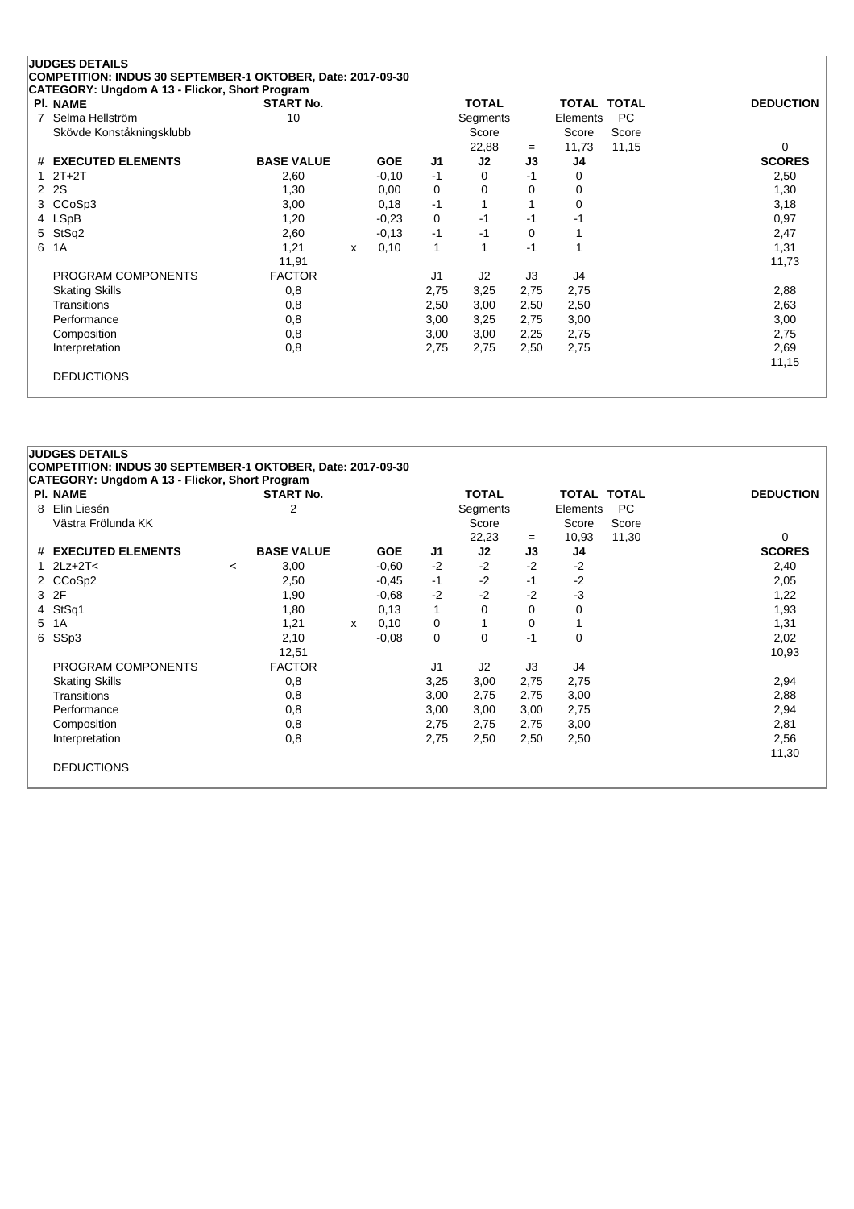| <b>PI. NAME</b>          | <b>START No.</b>  |   |            |                | <b>TOTAL</b>   |      | TOTAL TOTAL |       | <b>DEDUCTION</b> |
|--------------------------|-------------------|---|------------|----------------|----------------|------|-------------|-------|------------------|
| Selma Hellström<br>7     | 10                |   |            |                | Segments       |      | Elements    | PC.   |                  |
| Skövde Konståkningsklubb |                   |   |            |                | Score          |      | Score       | Score |                  |
|                          |                   |   |            |                | 22,88          | $=$  | 11,73       | 11,15 | 0                |
| # EXECUTED ELEMENTS      | <b>BASE VALUE</b> |   | <b>GOE</b> | J1             | J2             | J3   | J4          |       | <b>SCORES</b>    |
| $2T+2T$                  | 2,60              |   | $-0,10$    | $-1$           | 0              | $-1$ | 0           |       | 2,50             |
| <b>2S</b><br>2           | 1,30              |   | 0,00       | 0              | 0              | 0    | 0           |       | 1,30             |
| CCoSp3<br>3              | 3,00              |   | 0,18       | $-1$           |                |      | 0           |       | 3,18             |
| 4 LSpB                   | 1,20              |   | $-0.23$    | 0              | $-1$           | -1   | -1          |       | 0,97             |
| StSq2<br>5               | 2,60              |   | $-0,13$    | $-1$           | -1             | 0    |             |       | 2,47             |
| 6<br>1A                  | 1,21              | X | 0,10       | 1              |                | $-1$ |             |       | 1,31             |
|                          | 11,91             |   |            |                |                |      |             |       | 11,73            |
| PROGRAM COMPONENTS       | <b>FACTOR</b>     |   |            | J <sub>1</sub> | J <sub>2</sub> | J3   | J4          |       |                  |
| <b>Skating Skills</b>    | 0,8               |   |            | 2,75           | 3,25           | 2,75 | 2,75        |       | 2,88             |
| Transitions              | 0,8               |   |            | 2,50           | 3,00           | 2,50 | 2,50        |       | 2,63             |
| Performance              | 0,8               |   |            | 3,00           | 3,25           | 2,75 | 3,00        |       | 3,00             |
| Composition              | 0,8               |   |            | 3,00           | 3,00           | 2,25 | 2,75        |       | 2,75             |
| Interpretation           | 0,8               |   |            | 2,75           | 2,75           | 2,50 | 2,75        |       | 2,69             |
|                          |                   |   |            |                |                |      |             |       | 11,15            |

|   | <b>PI. NAME</b>       |         | <b>START No.</b>  |   |            |      | <b>TOTAL</b> |      | TOTAL TOTAL |       | <b>DEDUCTION</b> |
|---|-----------------------|---------|-------------------|---|------------|------|--------------|------|-------------|-------|------------------|
| 8 | Elin Liesén           |         | 2                 |   |            |      | Segments     |      | Elements    | PC.   |                  |
|   | Västra Frölunda KK    |         |                   |   |            |      | Score        |      | Score       | Score |                  |
|   |                       |         |                   |   |            |      | 22,23        | $=$  | 10,93       | 11,30 | $\Omega$         |
|   | # EXECUTED ELEMENTS   |         | <b>BASE VALUE</b> |   | <b>GOE</b> | J1   | J2           | J3   | J4          |       | <b>SCORES</b>    |
|   | $2Lz+2T<$             | $\prec$ | 3,00              |   | $-0.60$    | $-2$ | $-2$         | $-2$ | $-2$        |       | 2,40             |
|   | 2 CCoSp2              |         | 2,50              |   | $-0,45$    | $-1$ | $-2$         | -1   | $-2$        |       | 2,05             |
| 3 | 2F                    |         | 1,90              |   | $-0.68$    | $-2$ | $-2$         | $-2$ | -3          |       | 1,22             |
|   | 4 StSq1               |         | 1,80              |   | 0,13       | 1    | 0            | 0    | 0           |       | 1,93             |
|   | 5 1A                  |         | 1,21              | x | 0,10       | 0    |              | 0    |             |       | 1,31             |
| 6 | SSp3                  |         | 2,10              |   | $-0.08$    | 0    | 0            | $-1$ | 0           |       | 2,02             |
|   |                       |         | 12,51             |   |            |      |              |      |             |       | 10,93            |
|   | PROGRAM COMPONENTS    |         | <b>FACTOR</b>     |   |            | J1   | J2           | J3   | J4          |       |                  |
|   | <b>Skating Skills</b> |         | 0,8               |   |            | 3,25 | 3,00         | 2,75 | 2,75        |       | 2,94             |
|   | Transitions           |         | 0,8               |   |            | 3,00 | 2,75         | 2,75 | 3,00        |       | 2,88             |
|   | Performance           |         | 0,8               |   |            | 3,00 | 3,00         | 3,00 | 2,75        |       | 2,94             |
|   | Composition           |         | 0,8               |   |            | 2,75 | 2,75         | 2,75 | 3,00        |       | 2,81             |
|   | Interpretation        |         | 0,8               |   |            | 2,75 | 2,50         | 2,50 | 2,50        |       | 2,56             |
|   |                       |         |                   |   |            |      |              |      |             |       | 11,30            |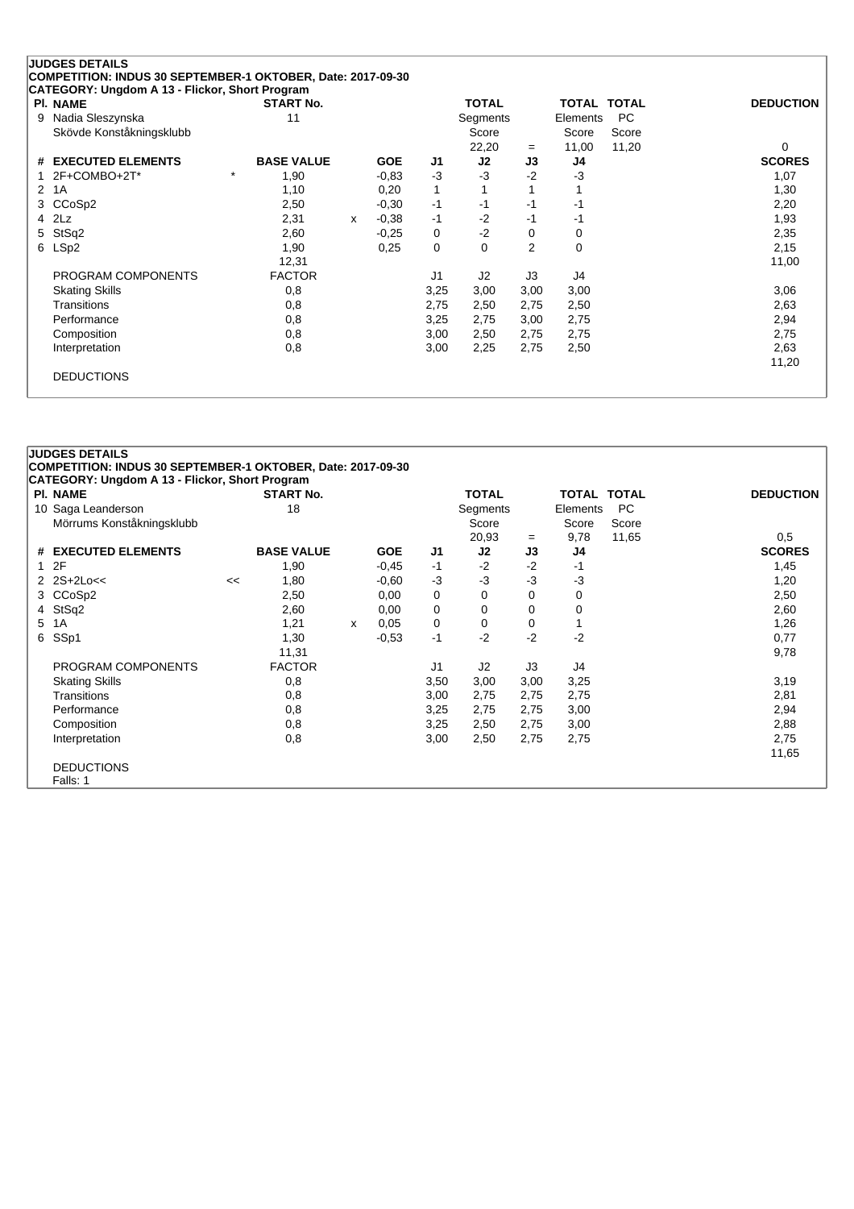| <b>PI. NAME</b>               | <b>START No.</b>  |   |            |              | <b>TOTAL</b>   |                | <b>TOTAL TOTAL</b> |           | <b>DEDUCTION</b> |
|-------------------------------|-------------------|---|------------|--------------|----------------|----------------|--------------------|-----------|------------------|
| Nadia Sleszynska              | 11                |   |            |              | Segments       |                | Elements           | <b>PC</b> |                  |
| Skövde Konståkningsklubb      |                   |   |            |              | Score          |                | Score              | Score     |                  |
|                               |                   |   |            |              | 22,20          | $=$            | 11,00              | 11,20     | 0                |
| <b>EXECUTED ELEMENTS</b><br># | <b>BASE VALUE</b> |   | <b>GOE</b> | J1           | J2             | J3             | J4                 |           | <b>SCORES</b>    |
| 2F+COMBO+2T*                  | $\star$<br>1,90   |   | $-0.83$    | $-3$         | $-3$           | $-2$           | $-3$               |           | 1,07             |
| 1A<br>2                       | 1,10              |   | 0,20       | $\mathbf{1}$ |                |                |                    |           | 1,30             |
| CCoSp2<br>3.                  | 2,50              |   | $-0,30$    | -1           | -1             | $-1$           | -1                 |           | 2,20             |
| 2Lz<br>4                      | 2,31              | X | $-0.38$    | -1           | $-2$           | -1             | -1                 |           | 1,93             |
| StSq2<br>5.                   | 2,60              |   | $-0.25$    | 0            | $-2$           | $\Omega$       | 0                  |           | 2,35             |
| 6 LSp2                        | 1,90              |   | 0,25       | 0            | 0              | $\overline{2}$ | 0                  |           | 2,15             |
|                               | 12,31             |   |            |              |                |                |                    |           | 11,00            |
| PROGRAM COMPONENTS            | <b>FACTOR</b>     |   |            | J1           | J <sub>2</sub> | J3             | J4                 |           |                  |
| <b>Skating Skills</b>         | 0,8               |   |            | 3,25         | 3,00           | 3,00           | 3,00               |           | 3,06             |
| Transitions                   | 0,8               |   |            | 2,75         | 2,50           | 2,75           | 2,50               |           | 2,63             |
| Performance                   | 0,8               |   |            | 3,25         | 2,75           | 3,00           | 2,75               |           | 2,94             |
| Composition                   | 0,8               |   |            | 3,00         | 2,50           | 2,75           | 2,75               |           | 2,75             |
| Interpretation                | 0,8               |   |            | 3,00         | 2,25           | 2,75           | 2,50               |           | 2,63             |
|                               |                   |   |            |              |                |                |                    |           | 11,20            |

|   | <b>JUDGES DETAILS</b>                                             |    |                   |   |            |                |              |      |                    |       |                  |
|---|-------------------------------------------------------------------|----|-------------------|---|------------|----------------|--------------|------|--------------------|-------|------------------|
|   | COMPETITION: INDUS 30 SEPTEMBER-1 OKTOBER, Date: 2017-09-30       |    |                   |   |            |                |              |      |                    |       |                  |
|   | CATEGORY: Ungdom A 13 - Flickor, Short Program<br><b>PI. NAME</b> |    | <b>START No.</b>  |   |            |                | <b>TOTAL</b> |      | <b>TOTAL TOTAL</b> |       | <b>DEDUCTION</b> |
|   | 10 Saga Leanderson                                                |    | 18                |   |            |                | Segments     |      | Elements           | PC.   |                  |
|   | Mörrums Konståkningsklubb                                         |    |                   |   |            |                | Score        |      | Score              | Score |                  |
|   |                                                                   |    |                   |   |            |                | 20,93        | $=$  | 9,78               | 11,65 | 0,5              |
|   | # EXECUTED ELEMENTS                                               |    | <b>BASE VALUE</b> |   | <b>GOE</b> | J <sub>1</sub> | J2           | J3   | J4                 |       | <b>SCORES</b>    |
|   | 12F                                                               |    | 1,90              |   | $-0.45$    | -1             | $-2$         | $-2$ | -1                 |       | 1,45             |
|   | $2$ $2S+2Lo<<$                                                    | << | 1,80              |   | -0.60      | $-3$           | $-3$         | $-3$ | $-3$               |       | 1,20             |
| 3 | CCoSp2                                                            |    | 2,50              |   | 0,00       | 0              | 0            | 0    | 0                  |       | 2,50             |
|   | 4 StSq2                                                           |    | 2,60              |   | 0,00       | $\mathbf 0$    | 0            | 0    | 0                  |       | 2,60             |
| 5 | 1A                                                                |    | 1,21              | X | 0.05       | $\mathbf 0$    | 0            | 0    |                    |       | 1,26             |
| 6 | SSp1                                                              |    | 1,30              |   | $-0,53$    | -1             | $-2$         | $-2$ | $-2$               |       | 0,77             |
|   |                                                                   |    | 11,31             |   |            |                |              |      |                    |       | 9,78             |
|   | PROGRAM COMPONENTS                                                |    | <b>FACTOR</b>     |   |            | J <sub>1</sub> | J2           | J3   | J4                 |       |                  |
|   | <b>Skating Skills</b>                                             |    | 0,8               |   |            | 3,50           | 3,00         | 3,00 | 3,25               |       | 3,19             |
|   | Transitions                                                       |    | 0,8               |   |            | 3,00           | 2,75         | 2,75 | 2,75               |       | 2,81             |
|   | Performance                                                       |    | 0,8               |   |            | 3,25           | 2,75         | 2,75 | 3,00               |       | 2,94             |
|   | Composition                                                       |    | 0,8               |   |            | 3,25           | 2,50         | 2,75 | 3,00               |       | 2,88             |
|   | Interpretation                                                    |    | 0,8               |   |            | 3,00           | 2,50         | 2,75 | 2,75               |       | 2,75             |
|   |                                                                   |    |                   |   |            |                |              |      |                    |       | 11,65            |
|   | <b>DEDUCTIONS</b>                                                 |    |                   |   |            |                |              |      |                    |       |                  |
|   | Falls: 1                                                          |    |                   |   |            |                |              |      |                    |       |                  |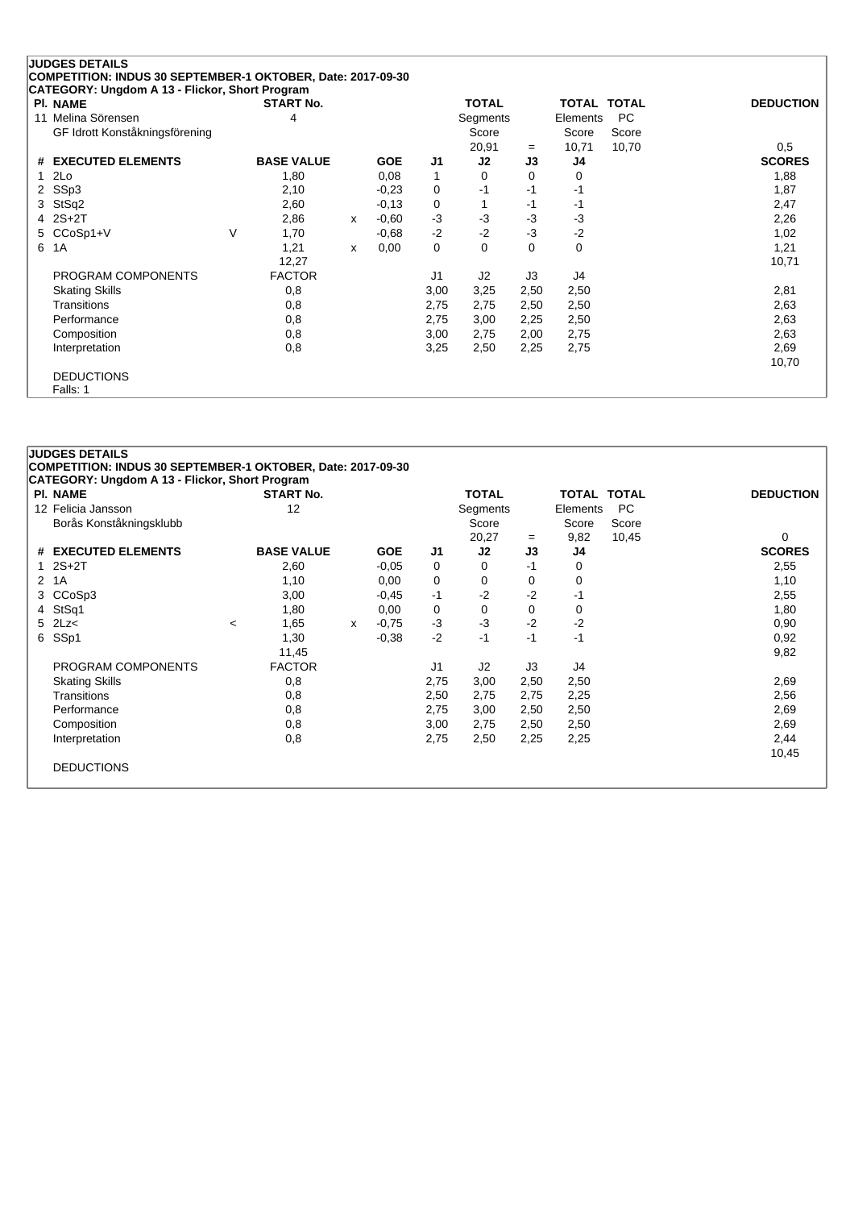| <b>PI. NAME</b>                |   | <b>START No.</b>  |   |            |                | <b>TOTAL</b>   |      | TOTAL TOTAL |           | <b>DEDUCTION</b> |
|--------------------------------|---|-------------------|---|------------|----------------|----------------|------|-------------|-----------|------------------|
| 11 Melina Sörensen             |   | 4                 |   |            |                | Segments       |      | Elements    | <b>PC</b> |                  |
| GF Idrott Konståkningsförening |   |                   |   |            |                | Score          |      | Score       | Score     |                  |
|                                |   |                   |   |            |                | 20,91          | $=$  | 10,71       | 10,70     | 0,5              |
| <b>EXECUTED ELEMENTS</b><br>#  |   | <b>BASE VALUE</b> |   | <b>GOE</b> | J <sub>1</sub> | J2             | J3   | J4          |           | <b>SCORES</b>    |
| 2Lo                            |   | 1,80              |   | 0,08       | 1              | 0              | 0    | 0           |           | 1,88             |
| SSp3<br>2                      |   | 2,10              |   | $-0.23$    | 0              | $-1$           | $-1$ | -1          |           | 1,87             |
| StSq2<br>3                     |   | 2,60              |   | $-0,13$    | 0              |                | $-1$ | -1          |           | 2,47             |
| $2S+2T$<br>4                   |   | 2,86              | X | $-0.60$    | $-3$           | $-3$           | -3   | $-3$        |           | 2,26             |
| CCoSp1+V<br>5                  | V | 1,70              |   | $-0.68$    | $-2$           | $-2$           | $-3$ | $-2$        |           | 1,02             |
| 6<br>1A                        |   | 1,21              | x | 0,00       | 0              | 0              | 0    | 0           |           | 1,21             |
|                                |   | 12,27             |   |            |                |                |      |             |           | 10,71            |
| PROGRAM COMPONENTS             |   | <b>FACTOR</b>     |   |            | J <sub>1</sub> | J <sub>2</sub> | J3   | J4          |           |                  |
| <b>Skating Skills</b>          |   | 0,8               |   |            | 3,00           | 3,25           | 2,50 | 2,50        |           | 2,81             |
| Transitions                    |   | 0,8               |   |            | 2,75           | 2,75           | 2,50 | 2,50        |           | 2,63             |
| Performance                    |   | 0,8               |   |            | 2,75           | 3,00           | 2,25 | 2,50        |           | 2,63             |
| Composition                    |   | 0,8               |   |            | 3,00           | 2,75           | 2,00 | 2,75        |           | 2,63             |
| Interpretation                 |   | 0,8               |   |            | 3,25           | 2,50           | 2,25 | 2,75        |           | 2,69             |
|                                |   |                   |   |            |                |                |      |             |           | 10,70            |

|   | <b>PI. NAME</b>         |         | <b>CATEGORY: Ungdom A 13 - Flickor, Short Program</b><br><b>START No.</b> |   |            |                | <b>TOTAL</b> |      | <b>TOTAL TOTAL</b> |       | <b>DEDUCTION</b> |
|---|-------------------------|---------|---------------------------------------------------------------------------|---|------------|----------------|--------------|------|--------------------|-------|------------------|
|   | 12 Felicia Jansson      |         | 12                                                                        |   |            |                | Segments     |      | Elements           | PC.   |                  |
|   | Borås Konståkningsklubb |         |                                                                           |   |            |                | Score        |      | Score              | Score |                  |
|   |                         |         |                                                                           |   |            |                | 20,27        | $=$  | 9,82               | 10,45 | 0                |
|   | # EXECUTED ELEMENTS     |         | <b>BASE VALUE</b>                                                         |   | <b>GOE</b> | J <sub>1</sub> | J2           | J3   | J4                 |       | <b>SCORES</b>    |
| 1 | $2S+2T$                 |         | 2,60                                                                      |   | $-0.05$    | 0              | $\Omega$     | -1   | 0                  |       | 2,55             |
|   | 2 1A                    |         | 1,10                                                                      |   | 0,00       | 0              | 0            | 0    | 0                  |       | 1,10             |
| 3 | CCoSp3                  |         | 3,00                                                                      |   | $-0.45$    | $-1$           | $-2$         | $-2$ | $-1$               |       | 2,55             |
|   | 4 StSq1                 |         | 1,80                                                                      |   | 0,00       | 0              | 0            | 0    | 0                  |       | 1,80             |
|   | $5$ 2Lz $<$             | $\prec$ | 1,65                                                                      | X | $-0,75$    | $-3$           | $-3$         | $-2$ | $-2$               |       | 0,90             |
|   | 6 SSp1                  |         | 1,30                                                                      |   | $-0.38$    | $-2$           | -1           | -1   | $-1$               |       | 0,92             |
|   |                         |         | 11,45                                                                     |   |            |                |              |      |                    |       | 9,82             |
|   | PROGRAM COMPONENTS      |         | <b>FACTOR</b>                                                             |   |            | J <sub>1</sub> | J2           | J3   | J4                 |       |                  |
|   | <b>Skating Skills</b>   |         | 0,8                                                                       |   |            | 2,75           | 3,00         | 2,50 | 2,50               |       | 2,69             |
|   | <b>Transitions</b>      |         | 0,8                                                                       |   |            | 2,50           | 2,75         | 2,75 | 2,25               |       | 2,56             |
|   | Performance             |         | 0,8                                                                       |   |            | 2,75           | 3,00         | 2,50 | 2,50               |       | 2,69             |
|   | Composition             |         | 0,8                                                                       |   |            | 3,00           | 2,75         | 2,50 | 2,50               |       | 2,69             |
|   | Interpretation          |         | 0,8                                                                       |   |            | 2,75           | 2,50         | 2,25 | 2,25               |       | 2,44             |
|   |                         |         |                                                                           |   |            |                |              |      |                    |       | 10,45            |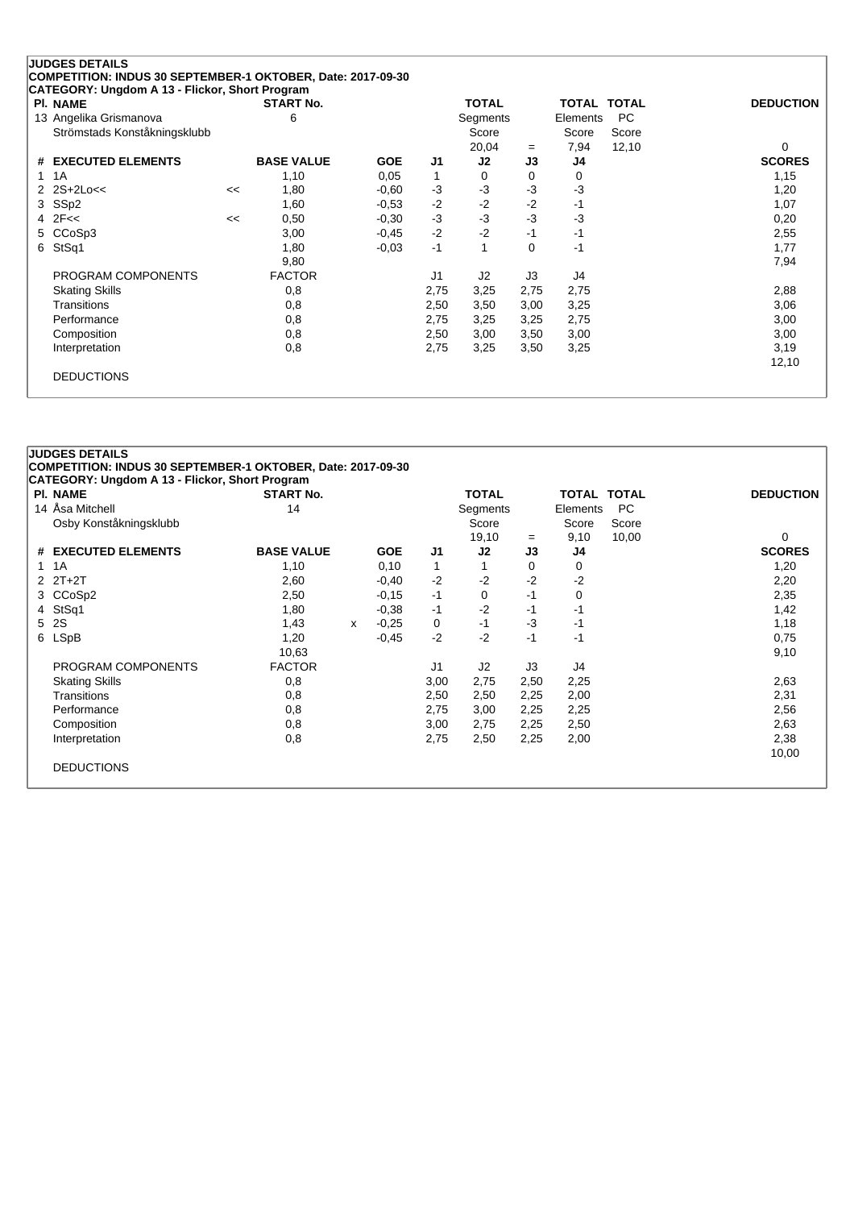| <b>PI. NAME</b>              |    | <b>START No.</b>  |            |                | <b>TOTAL</b> |          | TOTAL TOTAL |       | <b>DEDUCTION</b> |
|------------------------------|----|-------------------|------------|----------------|--------------|----------|-------------|-------|------------------|
| 13 Angelika Grismanova       |    | 6                 |            |                | Segments     |          | Elements    | PC.   |                  |
| Strömstads Konståkningsklubb |    |                   |            |                | Score        |          | Score       | Score |                  |
|                              |    |                   |            |                | 20,04        | $=$      | 7,94        | 12,10 | 0                |
| # EXECUTED ELEMENTS          |    | <b>BASE VALUE</b> | <b>GOE</b> | J <sub>1</sub> | J2           | J3       | J4          |       | <b>SCORES</b>    |
| 1A<br>1                      |    | 1,10              | 0.05       | 1              | 0            | 0        | 0           |       | 1,15             |
| 2 $2S+2Lo<<$                 | << | 1,80              | $-0.60$    | -3             | $-3$         | $-3$     | $-3$        |       | 1,20             |
| SS <sub>p2</sub><br>3        |    | 1,60              | $-0.53$    | $-2$           | $-2$         | $-2$     | -1          |       | 1,07             |
| 2F<<<br>4                    | << | 0,50              | $-0.30$    | $-3$           | $-3$         | $-3$     | $-3$        |       | 0,20             |
| CCoSp3<br>5.                 |    | 3,00              | $-0.45$    | $-2$           | $-2$         | $-1$     | -1          |       | 2,55             |
| StSq1<br>6                   |    | 1,80              | $-0.03$    | $-1$           |              | $\Omega$ | -1          |       | 1,77             |
|                              |    | 9,80              |            |                |              |          |             |       | 7,94             |
| PROGRAM COMPONENTS           |    | <b>FACTOR</b>     |            | J <sub>1</sub> | J2           | J3       | J4          |       |                  |
| <b>Skating Skills</b>        |    | 0,8               |            | 2,75           | 3,25         | 2,75     | 2,75        |       | 2,88             |
| Transitions                  |    | 0,8               |            | 2,50           | 3,50         | 3,00     | 3,25        |       | 3,06             |
| Performance                  |    | 0,8               |            | 2,75           | 3,25         | 3,25     | 2,75        |       | 3,00             |
| Composition                  |    | 0,8               |            | 2,50           | 3,00         | 3,50     | 3,00        |       | 3,00             |
| Interpretation               |    | 0,8               |            | 2,75           | 3,25         | 3,50     | 3,25        |       | 3,19             |
|                              |    |                   |            |                |              |          |             |       | 12,10            |

| <b>PI. NAME</b>        | <b>START No.</b>  |   |            |              | <b>TOTAL</b> |      | <b>TOTAL TOTAL</b> |           | <b>DEDUCTION</b> |
|------------------------|-------------------|---|------------|--------------|--------------|------|--------------------|-----------|------------------|
| 14 Åsa Mitchell        | 14                |   |            |              | Segments     |      | Elements           | <b>PC</b> |                  |
| Osby Konståkningsklubb |                   |   |            |              | Score        |      | Score              | Score     |                  |
|                        |                   |   |            |              | 19,10        | $=$  | 9,10               | 10,00     | 0                |
| # EXECUTED ELEMENTS    | <b>BASE VALUE</b> |   | <b>GOE</b> | J1           | J2           | J3   | J4                 |           | <b>SCORES</b>    |
| 1A<br>1                | 1,10              |   | 0,10       | $\mathbf{1}$ |              | 0    | 0                  |           | 1,20             |
| $2$ $2T+2T$            | 2,60              |   | $-0,40$    | $-2$         | $-2$         | $-2$ | $-2$               |           | 2,20             |
| CCoSp2<br>3            | 2,50              |   | $-0,15$    | $-1$         | 0            | $-1$ | 0                  |           | 2,35             |
| 4 StSq1                | 1,80              |   | $-0.38$    | $-1$         | $-2$         | -1   | -1                 |           | 1,42             |
| 5 2S                   | 1,43              | x | $-0.25$    | 0            | -1           | $-3$ | -1                 |           | 1,18             |
| 6 LSpB                 | 1,20              |   | $-0,45$    | $-2$         | $-2$         | -1   | -1                 |           | 0,75             |
|                        | 10,63             |   |            |              |              |      |                    |           | 9,10             |
| PROGRAM COMPONENTS     | <b>FACTOR</b>     |   |            | J1           | J2           | J3   | J4                 |           |                  |
| <b>Skating Skills</b>  | 0,8               |   |            | 3,00         | 2,75         | 2,50 | 2,25               |           | 2,63             |
| Transitions            | 0,8               |   |            | 2,50         | 2,50         | 2,25 | 2,00               |           | 2,31             |
| Performance            | 0,8               |   |            | 2,75         | 3,00         | 2,25 | 2,25               |           | 2,56             |
| Composition            | 0,8               |   |            | 3,00         | 2,75         | 2,25 | 2,50               |           | 2,63             |
| Interpretation         | 0,8               |   |            | 2,75         | 2,50         | 2,25 | 2,00               |           | 2,38             |
|                        |                   |   |            |              |              |      |                    |           | 10,00            |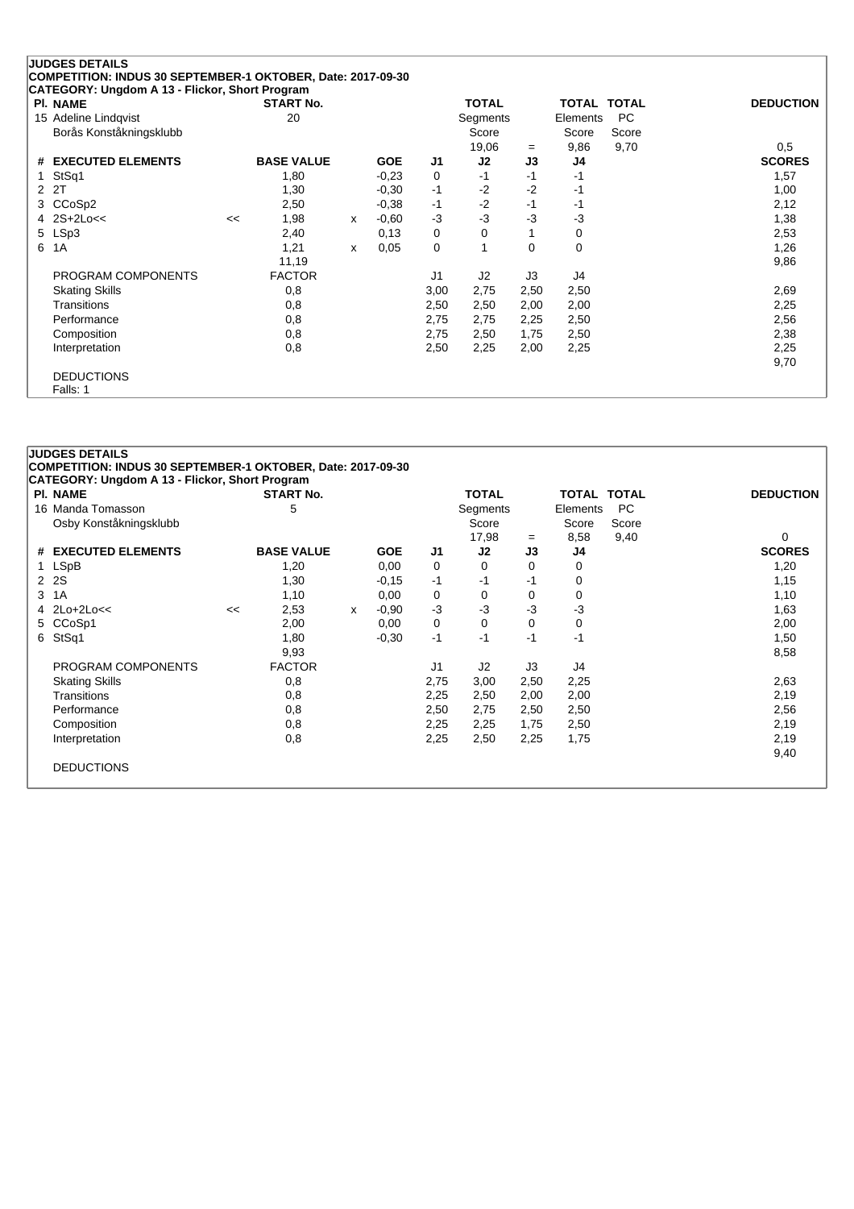|   | <b>JUDGES DETAILS</b>                                       |    |                   |   |            |                |              |      |          |                    |                  |
|---|-------------------------------------------------------------|----|-------------------|---|------------|----------------|--------------|------|----------|--------------------|------------------|
|   | COMPETITION: INDUS 30 SEPTEMBER-1 OKTOBER, Date: 2017-09-30 |    |                   |   |            |                |              |      |          |                    |                  |
|   | CATEGORY: Ungdom A 13 - Flickor, Short Program              |    |                   |   |            |                |              |      |          |                    |                  |
|   | <b>PI. NAME</b>                                             |    | <b>START No.</b>  |   |            |                | <b>TOTAL</b> |      |          | <b>TOTAL TOTAL</b> | <b>DEDUCTION</b> |
|   | 15 Adeline Lindqvist                                        |    | 20                |   |            |                | Segments     |      | Elements | <b>PC</b>          |                  |
|   | Borås Konståkningsklubb                                     |    |                   |   |            |                | Score        |      | Score    | Score              |                  |
|   |                                                             |    |                   |   |            |                | 19,06        | $=$  | 9,86     | 9,70               | 0,5              |
| # | <b>EXECUTED ELEMENTS</b>                                    |    | <b>BASE VALUE</b> |   | <b>GOE</b> | J1             | J2           | J3   | J4       |                    | <b>SCORES</b>    |
|   | StSq1                                                       |    | 1,80              |   | $-0,23$    | 0              | $-1$         | $-1$ | -1       |                    | 1,57             |
| 2 | 2T                                                          |    | 1,30              |   | $-0,30$    | $-1$           | $-2$         | $-2$ | -1       |                    | 1,00             |
| 3 | CCoSp2                                                      |    | 2,50              |   | $-0,38$    | -1             | $-2$         | $-1$ | -1       |                    | 2,12             |
| 4 | $2S+2Loc<$                                                  | << | 1,98              | x | $-0,60$    | $-3$           | $-3$         | -3   | $-3$     |                    | 1,38             |
|   | 5 LSp3                                                      |    | 2,40              |   | 0,13       | 0              | 0            |      | 0        |                    | 2,53             |
| 6 | 1A                                                          |    | 1,21              | x | 0,05       | 0              |              | 0    | 0        |                    | 1,26             |
|   |                                                             |    | 11,19             |   |            |                |              |      |          |                    | 9,86             |
|   | PROGRAM COMPONENTS                                          |    | <b>FACTOR</b>     |   |            | J <sub>1</sub> | J2           | J3   | J4       |                    |                  |
|   | <b>Skating Skills</b>                                       |    | 0,8               |   |            | 3,00           | 2,75         | 2,50 | 2,50     |                    | 2,69             |
|   | Transitions                                                 |    | 0,8               |   |            | 2,50           | 2,50         | 2,00 | 2,00     |                    | 2,25             |
|   | Performance                                                 |    | 0,8               |   |            | 2,75           | 2,75         | 2,25 | 2,50     |                    | 2,56             |
|   | Composition                                                 |    | 0,8               |   |            | 2,75           | 2,50         | 1,75 | 2,50     |                    | 2,38             |
|   | Interpretation                                              |    | 0,8               |   |            | 2,50           | 2,25         | 2,00 | 2,25     |                    | 2,25             |
|   |                                                             |    |                   |   |            |                |              |      |          |                    | 9,70             |
|   | <b>DEDUCTIONS</b>                                           |    |                   |   |            |                |              |      |          |                    |                  |
|   | Falls: 1                                                    |    |                   |   |            |                |              |      |          |                    |                  |

|   | <b>JUDGES DETAILS</b><br>COMPETITION: INDUS 30 SEPTEMBER-1 OKTOBER, Date: 2017-09-30 |    |                   |   |            |                |              |      |                    |           |                  |
|---|--------------------------------------------------------------------------------------|----|-------------------|---|------------|----------------|--------------|------|--------------------|-----------|------------------|
|   | CATEGORY: Ungdom A 13 - Flickor, Short Program<br><b>PI. NAME</b>                    |    | <b>START No.</b>  |   |            |                | <b>TOTAL</b> |      | <b>TOTAL TOTAL</b> |           | <b>DEDUCTION</b> |
|   | 16 Manda Tomasson                                                                    |    | 5                 |   |            |                | Segments     |      | Elements           | <b>PC</b> |                  |
|   | Osby Konståkningsklubb                                                               |    |                   |   |            |                | Score        |      | Score              | Score     |                  |
|   |                                                                                      |    |                   |   |            |                | 17,98        | $=$  | 8,58               | 9,40      | 0                |
|   | # EXECUTED ELEMENTS                                                                  |    | <b>BASE VALUE</b> |   | <b>GOE</b> | J1             | J2           | J3   | J4                 |           | <b>SCORES</b>    |
|   | 1 LSpB                                                                               |    | 1,20              |   | 0,00       | 0              | 0            | 0    | 0                  |           | 1,20             |
|   | 2 2 S                                                                                |    | 1,30              |   | $-0,15$    | $-1$           | -1           | $-1$ | 0                  |           | 1,15             |
| 3 | 1A                                                                                   |    | 1,10              |   | 0,00       | 0              | 0            | 0    | 0                  |           | 1,10             |
|   | 4 2Lo+2Lo<<                                                                          | << | 2,53              | X | $-0.90$    | $-3$           | $-3$         | $-3$ | $-3$               |           | 1,63             |
|   | 5 CCoSp1                                                                             |    | 2,00              |   | 0,00       | 0              | 0            | 0    | 0                  |           | 2,00             |
|   | 6 StSq1                                                                              |    | 1,80              |   | $-0.30$    | $-1$           | -1           | $-1$ | $-1$               |           | 1,50             |
|   |                                                                                      |    | 9,93              |   |            |                |              |      |                    |           | 8,58             |
|   | PROGRAM COMPONENTS                                                                   |    | <b>FACTOR</b>     |   |            | J <sub>1</sub> | J2           | J3   | J4                 |           |                  |
|   | <b>Skating Skills</b>                                                                |    | 0,8               |   |            | 2,75           | 3,00         | 2,50 | 2,25               |           | 2,63             |
|   | Transitions                                                                          |    | 0,8               |   |            | 2,25           | 2,50         | 2,00 | 2,00               |           | 2,19             |
|   | Performance                                                                          |    | 0,8               |   |            | 2,50           | 2,75         | 2,50 | 2,50               |           | 2,56             |
|   | Composition                                                                          |    | 0,8               |   |            | 2,25           | 2,25         | 1,75 | 2,50               |           | 2,19             |
|   | Interpretation                                                                       |    | 0,8               |   |            | 2,25           | 2,50         | 2,25 | 1,75               |           | 2,19             |
|   |                                                                                      |    |                   |   |            |                |              |      |                    |           | 9,40             |
|   | <b>DEDUCTIONS</b>                                                                    |    |                   |   |            |                |              |      |                    |           |                  |
|   |                                                                                      |    |                   |   |            |                |              |      |                    |           |                  |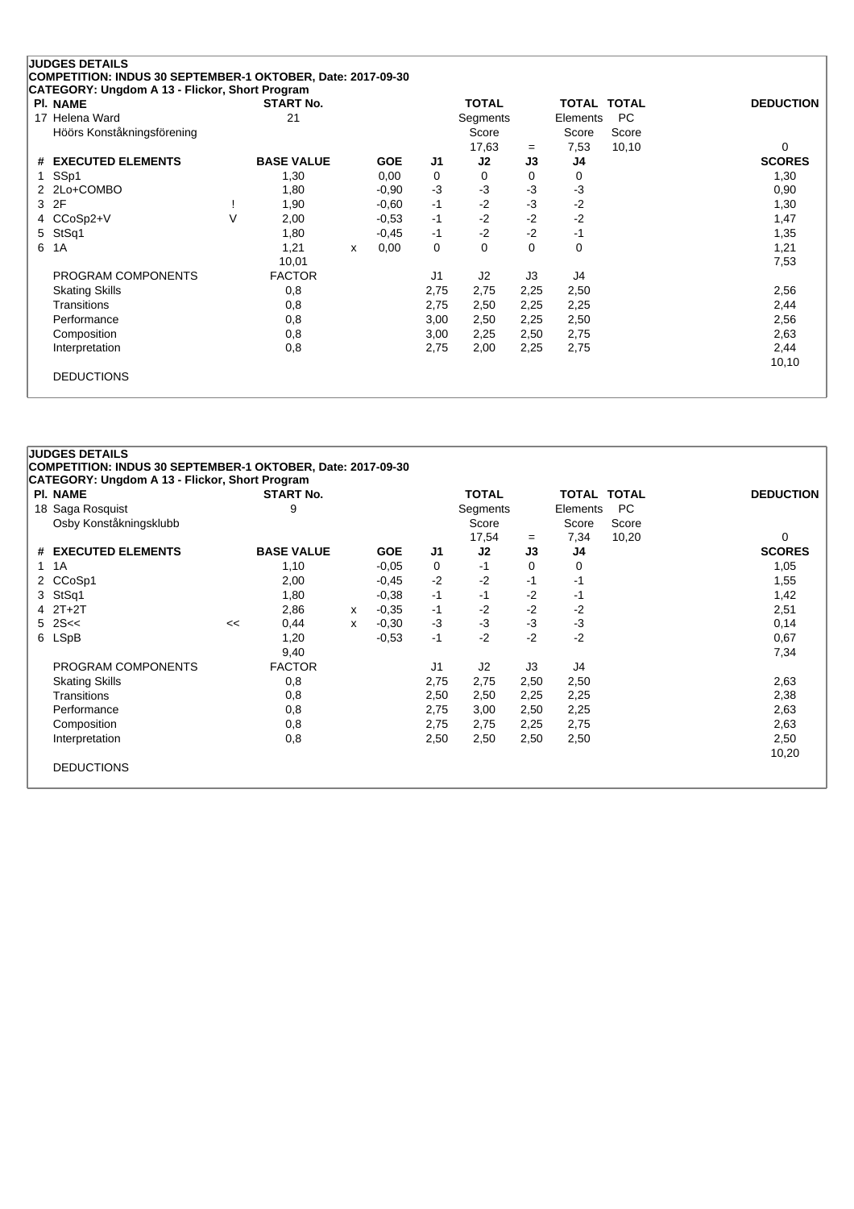| <b>PI. NAME</b>               |        | <b>START No.</b>  |   |            |      | <b>TOTAL</b>   |          | <b>TOTAL TOTAL</b> |           | <b>DEDUCTION</b> |
|-------------------------------|--------|-------------------|---|------------|------|----------------|----------|--------------------|-----------|------------------|
| 17 Helena Ward                |        | 21                |   |            |      | Segments       |          | Elements           | <b>PC</b> |                  |
| Höörs Konståkningsförening    |        |                   |   |            |      | Score          |          | Score              | Score     |                  |
|                               |        |                   |   |            |      | 17,63          | $=$      | 7,53               | 10, 10    | 0                |
| <b>EXECUTED ELEMENTS</b><br># |        | <b>BASE VALUE</b> |   | <b>GOE</b> | J1   | J2             | J3       | J4                 |           | <b>SCORES</b>    |
| SS <sub>p1</sub><br>1.        |        | 1,30              |   | 0,00       | 0    | 0              | $\Omega$ | 0                  |           | 1,30             |
| 2 2Lo+COMBO                   |        | 1,80              |   | $-0.90$    | $-3$ | $-3$           | $-3$     | $-3$               |           | 0,90             |
| 2F<br>3                       |        | 1,90              |   | $-0,60$    | $-1$ | $-2$           | $-3$     | $-2$               |           | 1,30             |
| 4 CCoSp2+V                    | $\vee$ | 2,00              |   | $-0.53$    | $-1$ | $-2$           | $-2$     | $-2$               |           | 1,47             |
| 5 StSq1                       |        | 1,80              |   | $-0.45$    | $-1$ | $-2$           | $-2$     | -1                 |           | 1,35             |
| 1A<br>6                       |        | 1,21              | X | 0,00       | 0    | 0              | $\Omega$ | $\Omega$           |           | 1,21             |
|                               |        | 10,01             |   |            |      |                |          |                    |           | 7,53             |
| PROGRAM COMPONENTS            |        | <b>FACTOR</b>     |   |            | J1   | J <sub>2</sub> | J3       | J4                 |           |                  |
| <b>Skating Skills</b>         |        | 0,8               |   |            | 2,75 | 2,75           | 2,25     | 2,50               |           | 2,56             |
| Transitions                   |        | 0,8               |   |            | 2,75 | 2,50           | 2,25     | 2,25               |           | 2,44             |
| Performance                   |        | 0,8               |   |            | 3,00 | 2,50           | 2,25     | 2,50               |           | 2,56             |
| Composition                   |        | 0,8               |   |            | 3,00 | 2,25           | 2,50     | 2,75               |           | 2,63             |
| Interpretation                |        | 0,8               |   |            | 2,75 | 2,00           | 2,25     | 2,75               |           | 2,44             |
|                               |        |                   |   |            |      |                |          |                    |           | 10,10            |

| <b>PI. NAME</b>               |    | <b>START No.</b>  |   |            |                | <b>TOTAL</b> |      | <b>TOTAL TOTAL</b> |       | <b>DEDUCTION</b> |
|-------------------------------|----|-------------------|---|------------|----------------|--------------|------|--------------------|-------|------------------|
| 18 Saga Rosquist              |    | 9                 |   |            |                | Segments     |      | Elements           | PC.   |                  |
| Osby Konståkningsklubb        |    |                   |   |            |                | Score        |      | Score              | Score |                  |
|                               |    |                   |   |            |                | 17,54        | $=$  | 7,34               | 10,20 | 0                |
| <b>EXECUTED ELEMENTS</b><br># |    | <b>BASE VALUE</b> |   | <b>GOE</b> | J1             | J2           | J3   | J4                 |       | <b>SCORES</b>    |
| 1A<br>1                       |    | 1,10              |   | $-0.05$    | 0              | -1           | 0    | 0                  |       | 1,05             |
| 2 CCoSp1                      |    | 2,00              |   | $-0,45$    | $-2$           | $-2$         | -1   | -1                 |       | 1,55             |
| StSq1<br>3                    |    | 1,80              |   | $-0.38$    | $-1$           | $-1$         | $-2$ | -1                 |       | 1,42             |
| $4$ $2T+2T$                   |    | 2,86              | x | $-0.35$    | $-1$           | $-2$         | $-2$ | $-2$               |       | 2,51             |
| $5 \, 2S <$                   | << | 0,44              | X | $-0.30$    | $-3$           | $-3$         | $-3$ | $-3$               |       | 0,14             |
| 6 LSpB                        |    | 1,20              |   | $-0.53$    | $-1$           | $-2$         | $-2$ | $-2$               |       | 0,67             |
|                               |    | 9,40              |   |            |                |              |      |                    |       | 7,34             |
| PROGRAM COMPONENTS            |    | <b>FACTOR</b>     |   |            | J <sub>1</sub> | J2           | J3   | J4                 |       |                  |
| <b>Skating Skills</b>         |    | 0,8               |   |            | 2,75           | 2,75         | 2,50 | 2,50               |       | 2,63             |
| Transitions                   |    | 0,8               |   |            | 2,50           | 2,50         | 2,25 | 2,25               |       | 2,38             |
| Performance                   |    | 0,8               |   |            | 2,75           | 3,00         | 2,50 | 2,25               |       | 2,63             |
| Composition                   |    | 0,8               |   |            | 2,75           | 2,75         | 2,25 | 2,75               |       | 2,63             |
| Interpretation                |    | 0,8               |   |            | 2,50           | 2,50         | 2,50 | 2,50               |       | 2,50             |
|                               |    |                   |   |            |                |              |      |                    |       | 10,20            |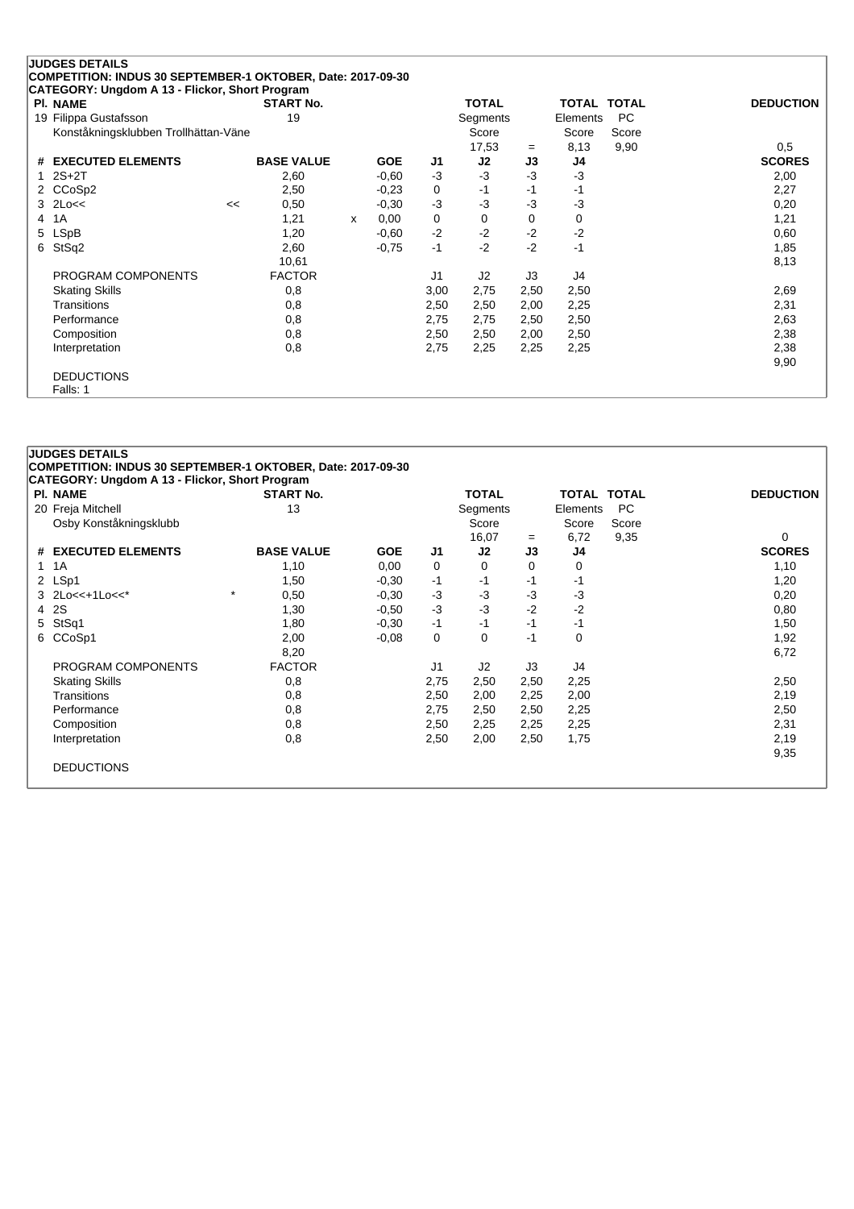|   | <b>JUDGES DETAILS</b>                                       |    |                   |   |            |                |              |      |                    |       |                  |
|---|-------------------------------------------------------------|----|-------------------|---|------------|----------------|--------------|------|--------------------|-------|------------------|
|   | COMPETITION: INDUS 30 SEPTEMBER-1 OKTOBER, Date: 2017-09-30 |    |                   |   |            |                |              |      |                    |       |                  |
|   | CATEGORY: Ungdom A 13 - Flickor, Short Program              |    |                   |   |            |                |              |      |                    |       |                  |
|   | <b>PI. NAME</b>                                             |    | <b>START No.</b>  |   |            |                | <b>TOTAL</b> |      | <b>TOTAL TOTAL</b> |       | <b>DEDUCTION</b> |
|   | 19 Filippa Gustafsson                                       |    | 19                |   |            |                | Segments     |      | Elements           | PC.   |                  |
|   | Konståkningsklubben Trollhättan-Väne                        |    |                   |   |            |                | Score        |      | Score              | Score |                  |
|   |                                                             |    |                   |   |            |                | 17,53        | $=$  | 8,13               | 9,90  | 0,5              |
|   | # EXECUTED ELEMENTS                                         |    | <b>BASE VALUE</b> |   | <b>GOE</b> | J1             | J2           | J3   | J4                 |       | <b>SCORES</b>    |
|   | $2S+2T$                                                     |    | 2,60              |   | $-0.60$    | $-3$           | $-3$         | $-3$ | $-3$               |       | 2,00             |
|   | 2 CCoSp2                                                    |    | 2,50              |   | $-0.23$    | 0              | $-1$         | -1   | -1                 |       | 2,27             |
| 3 | $2$ Lo<<                                                    | << | 0,50              |   | $-0,30$    | -3             | $-3$         | $-3$ | $-3$               |       | 0,20             |
| 4 | 1A                                                          |    | 1,21              | x | 0,00       | 0              | 0            | 0    | 0                  |       | 1,21             |
|   | 5 LSpB                                                      |    | 1,20              |   | $-0,60$    | $-2$           | $-2$         | $-2$ | $-2$               |       | 0,60             |
| 6 | StSq2                                                       |    | 2,60              |   | $-0,75$    | $-1$           | $-2$         | $-2$ | $-1$               |       | 1,85             |
|   |                                                             |    | 10,61             |   |            |                |              |      |                    |       | 8,13             |
|   | PROGRAM COMPONENTS                                          |    | <b>FACTOR</b>     |   |            | J <sub>1</sub> | J2           | J3   | J4                 |       |                  |
|   | <b>Skating Skills</b>                                       |    | 0,8               |   |            | 3,00           | 2,75         | 2,50 | 2,50               |       | 2,69             |
|   | Transitions                                                 |    | 0,8               |   |            | 2,50           | 2,50         | 2,00 | 2,25               |       | 2,31             |
|   | Performance                                                 |    | 0,8               |   |            | 2,75           | 2,75         | 2,50 | 2,50               |       | 2,63             |
|   | Composition                                                 |    | 0,8               |   |            | 2,50           | 2,50         | 2,00 | 2,50               |       | 2,38             |
|   | Interpretation                                              |    | 0,8               |   |            | 2,75           | 2,25         | 2,25 | 2,25               |       | 2,38             |
|   |                                                             |    |                   |   |            |                |              |      |                    |       | 9,90             |
|   | <b>DEDUCTIONS</b>                                           |    |                   |   |            |                |              |      |                    |       |                  |
|   | Falls: 1                                                    |    |                   |   |            |                |              |      |                    |       |                  |

|    | <b>JUDGES DETAILS</b>                                       |         |                   |            |                |              |      |                    |       |                  |
|----|-------------------------------------------------------------|---------|-------------------|------------|----------------|--------------|------|--------------------|-------|------------------|
|    | COMPETITION: INDUS 30 SEPTEMBER-1 OKTOBER, Date: 2017-09-30 |         |                   |            |                |              |      |                    |       |                  |
|    | <b>CATEGORY: Ungdom A 13 - Flickor, Short Program</b>       |         |                   |            |                |              |      |                    |       |                  |
|    | <b>PI. NAME</b>                                             |         | <b>START No.</b>  |            |                | <b>TOTAL</b> |      | <b>TOTAL TOTAL</b> |       | <b>DEDUCTION</b> |
|    | 20 Freja Mitchell                                           |         | 13                |            |                | Segments     |      | Elements           | PC.   |                  |
|    | Osby Konståkningsklubb                                      |         |                   |            |                | Score        |      | Score              | Score |                  |
|    |                                                             |         |                   |            |                | 16,07        | $=$  | 6,72               | 9,35  | 0                |
|    | # EXECUTED ELEMENTS                                         |         | <b>BASE VALUE</b> | <b>GOE</b> | J1             | J2           | J3   | J4                 |       | <b>SCORES</b>    |
| 1. | 1A                                                          |         | 1,10              | 0,00       | 0              | 0            | 0    | 0                  |       | 1,10             |
|    | 2 LSp1                                                      |         | 1,50              | $-0.30$    | $-1$           | -1           | -1   | -1                 |       | 1,20             |
|    | 3 2Lo<<+1Lo<<*                                              | $\star$ | 0,50              | $-0.30$    | $-3$           | $-3$         | -3   | $-3$               |       | 0,20             |
|    | 4 2S                                                        |         | 1,30              | $-0.50$    | $-3$           | $-3$         | $-2$ | $-2$               |       | 0,80             |
| 5  | StSq1                                                       |         | 1,80              | $-0.30$    | -1             | -1           | $-1$ | -1                 |       | 1,50             |
|    | 6 CCoSp1                                                    |         | 2,00              | $-0.08$    | 0              | 0            | $-1$ | 0                  |       | 1,92             |
|    |                                                             |         | 8,20              |            |                |              |      |                    |       | 6,72             |
|    | PROGRAM COMPONENTS                                          |         | <b>FACTOR</b>     |            | J <sub>1</sub> | J2           | J3   | J4                 |       |                  |
|    | <b>Skating Skills</b>                                       |         | 0,8               |            | 2,75           | 2,50         | 2,50 | 2,25               |       | 2,50             |
|    | Transitions                                                 |         | 0,8               |            | 2,50           | 2,00         | 2,25 | 2,00               |       | 2,19             |
|    | Performance                                                 |         | 0,8               |            | 2,75           | 2,50         | 2,50 | 2,25               |       | 2,50             |
|    | Composition                                                 |         | 0,8               |            | 2,50           | 2,25         | 2,25 | 2,25               |       | 2,31             |
|    | Interpretation                                              |         | 0,8               |            | 2,50           | 2,00         | 2,50 | 1,75               |       | 2,19             |
|    |                                                             |         |                   |            |                |              |      |                    |       | 9,35             |
|    | <b>DEDUCTIONS</b>                                           |         |                   |            |                |              |      |                    |       |                  |
|    |                                                             |         |                   |            |                |              |      |                    |       |                  |